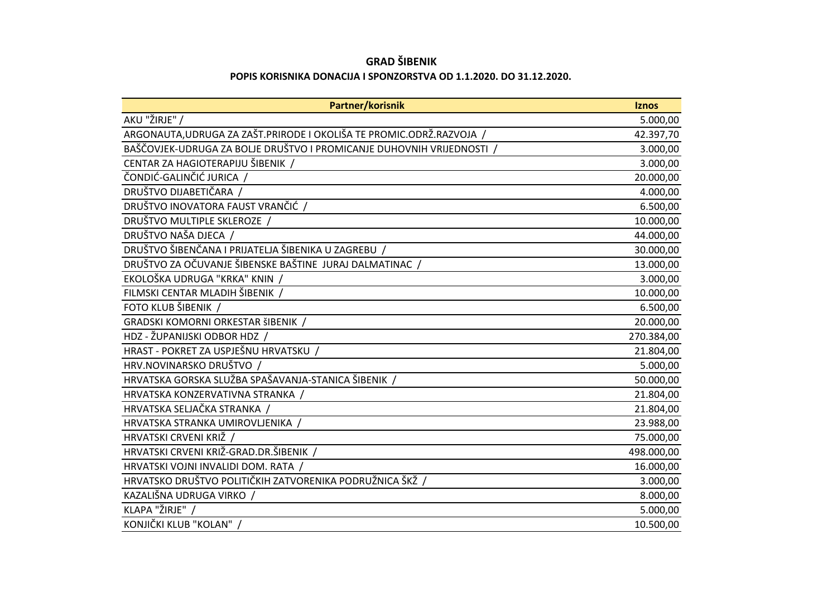## **GRAD ŠIBENIK**

## **POPIS KORISNIKA DONACIJA I SPONZORSTVA OD 1.1.2020. DO 31.12.2020.**

| Partner/korisnik                                                        | <b>Iznos</b> |
|-------------------------------------------------------------------------|--------------|
| AKU "ŽIRJE" /                                                           | 5.000,00     |
| ARGONAUTA, UDRUGA ZA ZAŠT. PRIRODE I OKOLIŠA TE PROMIC. ODRŽ. RAZVOJA / | 42.397,70    |
| BAŠČOVJEK-UDRUGA ZA BOLJE DRUŠTVO I PROMICANJE DUHOVNIH VRIJEDNOSTI /   | 3.000,00     |
| CENTAR ZA HAGIOTERAPIJU ŠIBENIK /                                       | 3.000,00     |
| ČONDIĆ-GALINČIĆ JURICA /                                                | 20.000,00    |
| DRUŠTVO DIJABETIČARA /                                                  | 4.000,00     |
| DRUŠTVO INOVATORA FAUST VRANČIĆ /                                       | 6.500,00     |
| DRUŠTVO MULTIPLE SKLEROZE /                                             | 10.000,00    |
| DRUŠTVO NAŠA DJECA /                                                    | 44.000,00    |
| DRUŠTVO ŠIBENČANA I PRIJATELJA ŠIBENIKA U ZAGREBU /                     | 30.000,00    |
| DRUŠTVO ZA OČUVANJE ŠIBENSKE BAŠTINE JURAJ DALMATINAC /                 | 13.000,00    |
| EKOLOŠKA UDRUGA "KRKA" KNIN /                                           | 3.000,00     |
| FILMSKI CENTAR MLADIH ŠIBENIK /                                         | 10.000,00    |
| FOTO KLUB ŠIBENIK /                                                     | 6.500,00     |
| GRADSKI KOMORNI ORKESTAR ŠIBENIK /                                      | 20.000,00    |
| HDZ - ŽUPANIJSKI ODBOR HDZ /                                            | 270.384,00   |
| HRAST - POKRET ZA USPJEŠNU HRVATSKU /                                   | 21.804,00    |
| HRV.NOVINARSKO DRUŠTVO /                                                | 5.000,00     |
| HRVATSKA GORSKA SLUŽBA SPAŠAVANJA-STANICA ŠIBENIK /                     | 50.000,00    |
| HRVATSKA KONZERVATIVNA STRANKA /                                        | 21.804,00    |
| HRVATSKA SELJAČKA STRANKA /                                             | 21.804,00    |
| HRVATSKA STRANKA UMIROVLJENIKA                                          | 23.988,00    |
| HRVATSKI CRVENI KRIŽ /                                                  | 75.000,00    |
| HRVATSKI CRVENI KRIŽ-GRAD.DR.ŠIBENIK /                                  | 498.000,00   |
| HRVATSKI VOJNI INVALIDI DOM. RATA /                                     | 16.000,00    |
| HRVATSKO DRUŠTVO POLITIČKIH ZATVORENIKA PODRUŽNICA ŠKŽ /                | 3.000,00     |
| KAZALIŠNA UDRUGA VIRKO /                                                | 8.000,00     |
| KLAPA "ŽIRJE" /                                                         | 5.000,00     |
| KONJIČKI KLUB "KOLAN" /                                                 | 10.500,00    |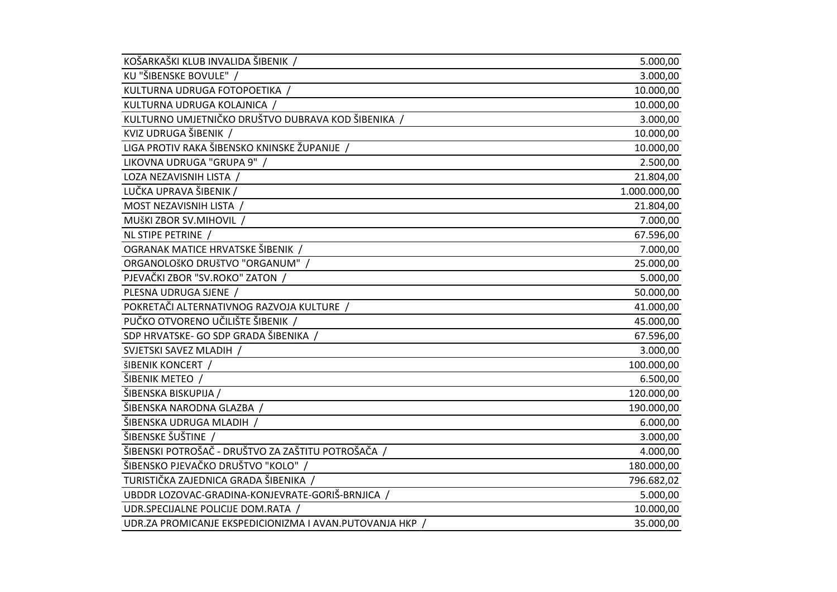| KOŠARKAŠKI KLUB INVALIDA ŠIBENIK /                       | 5.000,00     |
|----------------------------------------------------------|--------------|
| KU "ŠIBENSKE BOVULE" /                                   | 3.000,00     |
| KULTURNA UDRUGA FOTOPOETIKA /                            | 10.000,00    |
| KULTURNA UDRUGA KOLAJNICA /                              | 10.000,00    |
| KULTURNO UMJETNIČKO DRUŠTVO DUBRAVA KOD ŠIBENIKA /       | 3.000,00     |
| KVIZ UDRUGA ŠIBENIK /                                    | 10.000,00    |
| LIGA PROTIV RAKA ŠIBENSKO KNINSKE ŽUPANIJE /             | 10.000,00    |
| LIKOVNA UDRUGA "GRUPA 9" /                               | 2.500,00     |
| LOZA NEZAVISNIH LISTA /                                  | 21.804,00    |
| LUČKA UPRAVA ŠIBENIK /                                   | 1.000.000,00 |
| MOST NEZAVISNIH LISTA /                                  | 21.804,00    |
| MUŠKI ZBOR SV.MIHOVIL /                                  | 7.000,00     |
| NL STIPE PETRINE /                                       | 67.596,00    |
| OGRANAK MATICE HRVATSKE ŠIBENIK /                        | 7.000,00     |
| ORGANOLOŠKO DRUŠTVO "ORGANUM" /                          | 25.000,00    |
| PJEVAČKI ZBOR "SV.ROKO" ZATON /                          | 5.000,00     |
| PLESNA UDRUGA SJENE /                                    | 50.000,00    |
| POKRETAČI ALTERNATIVNOG RAZVOJA KULTURE /                | 41.000,00    |
| PUČKO OTVORENO UČILIŠTE ŠIBENIK /                        | 45.000,00    |
| SDP HRVATSKE- GO SDP GRADA ŠIBENIKA                      | 67.596,00    |
| SVJETSKI SAVEZ MLADIH /                                  | 3.000,00     |
| <b>ŠIBENIK KONCERT /</b>                                 | 100.000,00   |
| ŠIBENIK METEO /                                          | 6.500,00     |
| ŠIBENSKA BISKUPIJA /                                     | 120.000,00   |
| ŠIBENSKA NARODNA GLAZBA /                                | 190.000,00   |
| ŠIBENSKA UDRUGA MLADIH /                                 | 6.000,00     |
| ŠIBENSKE ŠUŠTINE /                                       | 3.000,00     |
| ŠIBENSKI POTROŠAČ - DRUŠTVO ZA ZAŠTITU POTROŠAČA /       | 4.000,00     |
| ŠIBENSKO PJEVAČKO DRUŠTVO "KOLO" /                       | 180.000,00   |
| TURISTIČKA ZAJEDNICA GRADA ŠIBENIKA /                    | 796.682,02   |
| UBDDR LOZOVAC-GRADINA-KONJEVRATE-GORIŠ-BRNJICA /         | 5.000,00     |
| UDR.SPECIJALNE POLICIJE DOM.RATA /                       | 10.000,00    |
| UDR.ZA PROMICANJE EKSPEDICIONIZMA I AVAN.PUTOVANJA HKP / | 35.000,00    |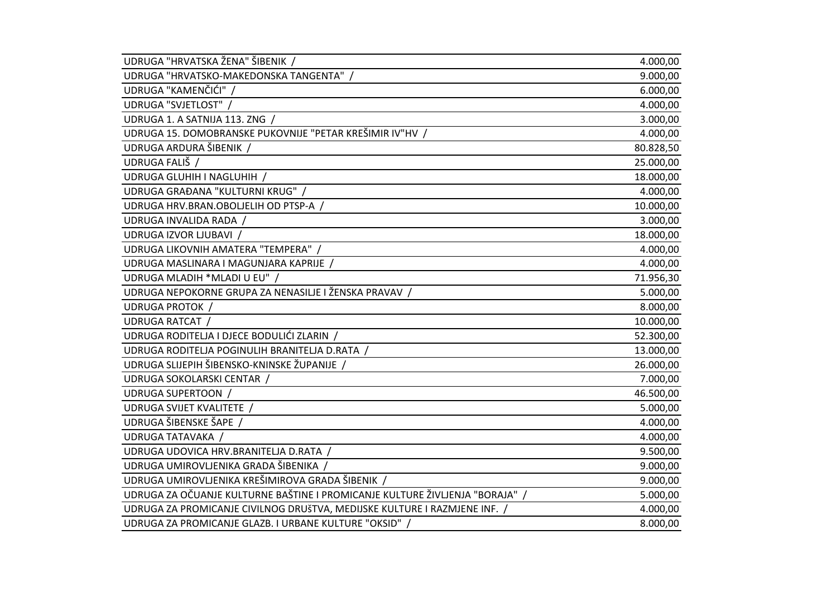| UDRUGA "HRVATSKA ŽENA" ŠIBENIK /                                             | 4.000,00  |
|------------------------------------------------------------------------------|-----------|
| UDRUGA "HRVATSKO-MAKEDONSKA TANGENTA" /                                      | 9.000,00  |
| UDRUGA "KAMENČIĆI" /                                                         | 6.000,00  |
| UDRUGA "SVJETLOST" /                                                         | 4.000,00  |
| UDRUGA 1. A SATNIJA 113. ZNG /                                               | 3.000,00  |
| UDRUGA 15. DOMOBRANSKE PUKOVNIJE "PETAR KREŠIMIR IV"HV /                     | 4.000,00  |
| UDRUGA ARDURA ŠIBENIK /                                                      | 80.828,50 |
| UDRUGA FALIŠ /                                                               | 25.000,00 |
| UDRUGA GLUHIH I NAGLUHIH /                                                   | 18.000,00 |
| UDRUGA GRAĐANA "KULTURNI KRUG" /                                             | 4.000,00  |
| UDRUGA HRV.BRAN.OBOLJELIH OD PTSP-A                                          | 10.000,00 |
| UDRUGA INVALIDA RADA /                                                       | 3.000,00  |
| UDRUGA IZVOR LJUBAVI /                                                       | 18.000,00 |
| UDRUGA LIKOVNIH AMATERA "TEMPERA" /                                          | 4.000,00  |
| UDRUGA MASLINARA I MAGUNJARA KAPRIJE /                                       | 4.000,00  |
| UDRUGA MLADIH *MLADI U EU" /                                                 | 71.956,30 |
| UDRUGA NEPOKORNE GRUPA ZA NENASILJE I ŽENSKA PRAVAV /                        | 5.000,00  |
| <b>UDRUGA PROTOK /</b>                                                       | 8.000,00  |
| UDRUGA RATCAT /                                                              | 10.000,00 |
| UDRUGA RODITELJA I DJECE BODULIĆI ZLARIN /                                   | 52.300,00 |
| UDRUGA RODITELJA POGINULIH BRANITELJA D.RATA /                               | 13.000,00 |
| UDRUGA SLIJEPIH ŠIBENSKO-KNINSKE ŽUPANIJE /                                  | 26.000,00 |
| UDRUGA SOKOLARSKI CENTAR /                                                   | 7.000,00  |
| <b>UDRUGA SUPERTOON /</b>                                                    | 46.500,00 |
| UDRUGA SVIJET KVALITETE /                                                    | 5.000,00  |
| UDRUGA ŠIBENSKE ŠAPE /                                                       | 4.000,00  |
| UDRUGA TATAVAKA /                                                            | 4.000,00  |
| UDRUGA UDOVICA HRV.BRANITELJA D.RATA                                         | 9.500,00  |
| UDRUGA UMIROVLJENIKA GRADA ŠIBENIKA /                                        | 9.000,00  |
| UDRUGA UMIROVLJENIKA KREŠIMIROVA GRADA ŠIBENIK /                             | 9.000,00  |
| UDRUGA ZA OČUANJE KULTURNE BAŠTINE I PROMICANJE KULTURE ŽIVLJENJA "BORAJA" / | 5.000,00  |
| UDRUGA ZA PROMICANJE CIVILNOG DRUŠTVA, MEDIJSKE KULTURE I RAZMJENE INF. /    | 4.000,00  |
| UDRUGA ZA PROMICANJE GLAZB. I URBANE KULTURE "OKSID" /                       | 8.000,00  |